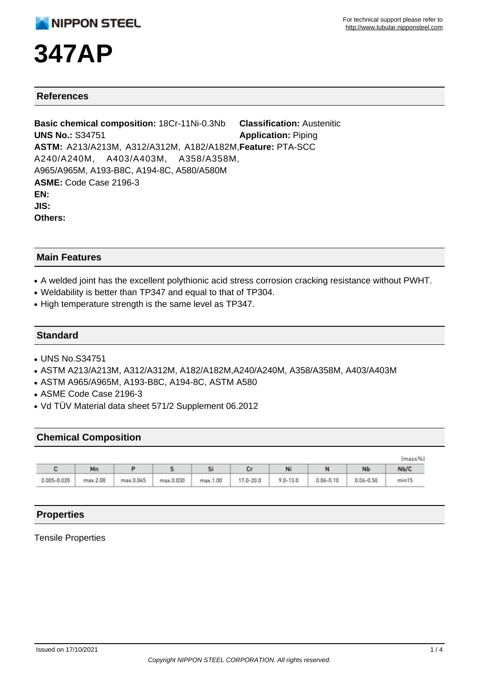# **347AP**

### **References**

**Basic chemical composition:** 18Cr-11Ni-0.3Nb **UNS No.:** S34751 **ASTM:** A213/A213M, A312/A312M, A182/A182M, **Feature:** PTA-SCC A240/A240M, A403/A403M, A358/A358M, A965/A965M, A193-B8C, A194-8C, A580/A580M **ASME:** Code Case 2196-3 **EN: JIS: Others: Classification:** Austenitic **Application:** Piping

### **Main Features**

- A welded joint has the excellent polythionic acid stress corrosion cracking resistance without PWHT.
- Weldability is better than TP347 and equal to that of TP304.
- High temperature strength is the same level as TP347.

#### **Standard**

- UNS No.S34751
- ASTM A213/A213M, A312/A312M, A182/A182M,A240/A240M, A358/A358M, A403/A403M
- ASTM A965/A965M, A193-B8C, A194-8C, ASTM A580
- ASME Code Case 2196-3
- Vd TÜV Material data sheet 571/2 Supplement 06.2012

#### **Chemical Composition**

| (mass%)         |          |           |           |          |           |              |               |               |       |
|-----------------|----------|-----------|-----------|----------|-----------|--------------|---------------|---------------|-------|
|                 | Mn       |           |           |          |           | Ni           |               | <b>Nb</b>     | Nb/C  |
| $0.005 - 0.020$ | max.2.00 | max.0.045 | max.0.030 | max.1.00 | 17.0-20.0 | $9.0 - 13.0$ | $0.06 - 0.10$ | $0.06 - 0.50$ | min15 |

## **Properties**

#### Tensile Properties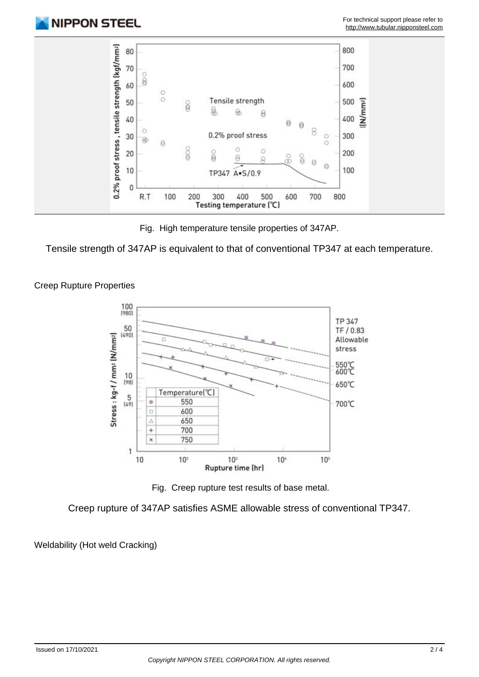

Fig. High temperature tensile properties of 347AP.

Tensile strength of 347AP is equivalent to that of conventional TP347 at each temperature.



Creep Rupture Properties

Fig. Creep rupture test results of base metal.

Creep rupture of 347AP satisfies ASME allowable stress of conventional TP347.

Weldability (Hot weld Cracking)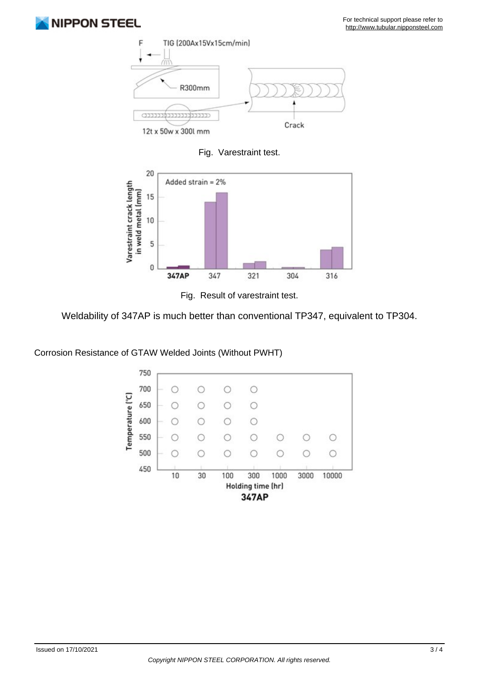





Fig. Result of varestraint test.

Weldability of 347AP is much better than conventional TP347, equivalent to TP304.

Corrosion Resistance of GTAW Welded Joints (Without PWHT)